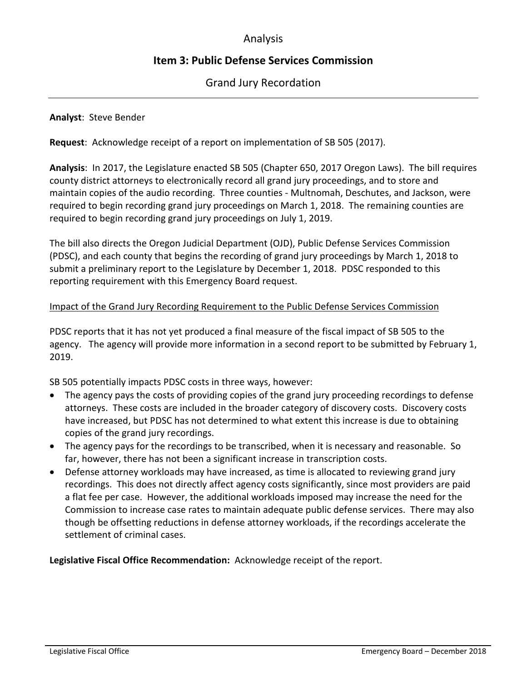# Analysis

# **Item 3: Public Defense Services Commission**

## Grand Jury Recordation

## **Analyst**: Steve Bender

**Request**: Acknowledge receipt of a report on implementation of SB 505 (2017).

**Analysis**: In 2017, the Legislature enacted SB 505 (Chapter 650, 2017 Oregon Laws). The bill requires county district attorneys to electronically record all grand jury proceedings, and to store and maintain copies of the audio recording. Three counties - Multnomah, Deschutes, and Jackson, were required to begin recording grand jury proceedings on March 1, 2018. The remaining counties are required to begin recording grand jury proceedings on July 1, 2019.

The bill also directs the Oregon Judicial Department (OJD), Public Defense Services Commission (PDSC), and each county that begins the recording of grand jury proceedings by March 1, 2018 to submit a preliminary report to the Legislature by December 1, 2018. PDSC responded to this reporting requirement with this Emergency Board request.

### Impact of the Grand Jury Recording Requirement to the Public Defense Services Commission

PDSC reports that it has not yet produced a final measure of the fiscal impact of SB 505 to the agency. The agency will provide more information in a second report to be submitted by February 1, 2019.

SB 505 potentially impacts PDSC costs in three ways, however:

- The agency pays the costs of providing copies of the grand jury proceeding recordings to defense attorneys. These costs are included in the broader category of discovery costs. Discovery costs have increased, but PDSC has not determined to what extent this increase is due to obtaining copies of the grand jury recordings.
- The agency pays for the recordings to be transcribed, when it is necessary and reasonable. So far, however, there has not been a significant increase in transcription costs.
- Defense attorney workloads may have increased, as time is allocated to reviewing grand jury recordings. This does not directly affect agency costs significantly, since most providers are paid a flat fee per case. However, the additional workloads imposed may increase the need for the Commission to increase case rates to maintain adequate public defense services. There may also though be offsetting reductions in defense attorney workloads, if the recordings accelerate the settlement of criminal cases.

**Legislative Fiscal Office Recommendation:** Acknowledge receipt of the report.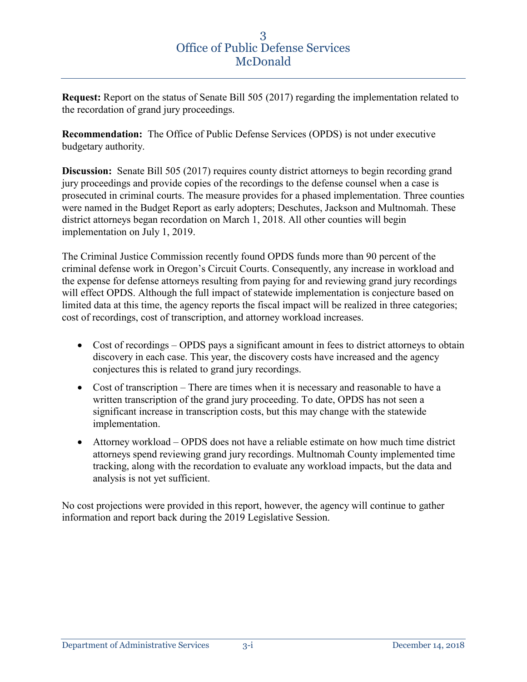**Request:** Report on the status of Senate Bill 505 (2017) regarding the implementation related to the recordation of grand jury proceedings.

**Recommendation:** The Office of Public Defense Services (OPDS) is not under executive budgetary authority.

**Discussion:** Senate Bill 505 (2017) requires county district attorneys to begin recording grand jury proceedings and provide copies of the recordings to the defense counsel when a case is prosecuted in criminal courts. The measure provides for a phased implementation. Three counties were named in the Budget Report as early adopters; Deschutes, Jackson and Multnomah. These district attorneys began recordation on March 1, 2018. All other counties will begin implementation on July 1, 2019.

The Criminal Justice Commission recently found OPDS funds more than 90 percent of the criminal defense work in Oregon's Circuit Courts. Consequently, any increase in workload and the expense for defense attorneys resulting from paying for and reviewing grand jury recordings will effect OPDS. Although the full impact of statewide implementation is conjecture based on limited data at this time, the agency reports the fiscal impact will be realized in three categories; cost of recordings, cost of transcription, and attorney workload increases.

- Cost of recordings OPDS pays a significant amount in fees to district attorneys to obtain discovery in each case. This year, the discovery costs have increased and the agency conjectures this is related to grand jury recordings.
- Cost of transcription There are times when it is necessary and reasonable to have a written transcription of the grand jury proceeding. To date, OPDS has not seen a significant increase in transcription costs, but this may change with the statewide implementation.
- Attorney workload OPDS does not have a reliable estimate on how much time district attorneys spend reviewing grand jury recordings. Multnomah County implemented time tracking, along with the recordation to evaluate any workload impacts, but the data and analysis is not yet sufficient.

No cost projections were provided in this report, however, the agency will continue to gather information and report back during the 2019 Legislative Session.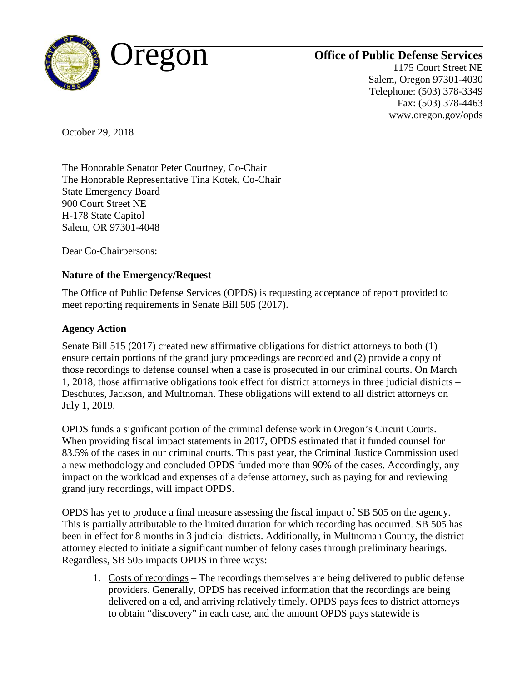

1175 Court Street NE Salem, Oregon 97301-4030 Telephone: (503) 378-3349 Fax: (503) 378-4463 www.oregon.gov/opds

October 29, 2018

The Honorable Senator Peter Courtney, Co-Chair The Honorable Representative Tina Kotek, Co-Chair State Emergency Board 900 Court Street NE H-178 State Capitol Salem, OR 97301-4048

Dear Co-Chairpersons:

## **Nature of the Emergency/Request**

The Office of Public Defense Services (OPDS) is requesting acceptance of report provided to meet reporting requirements in Senate Bill 505 (2017).

## **Agency Action**

Senate Bill 515 (2017) created new affirmative obligations for district attorneys to both (1) ensure certain portions of the grand jury proceedings are recorded and (2) provide a copy of those recordings to defense counsel when a case is prosecuted in our criminal courts. On March 1, 2018, those affirmative obligations took effect for district attorneys in three judicial districts – Deschutes, Jackson, and Multnomah. These obligations will extend to all district attorneys on July 1, 2019.

OPDS funds a significant portion of the criminal defense work in Oregon's Circuit Courts. When providing fiscal impact statements in 2017, OPDS estimated that it funded counsel for 83.5% of the cases in our criminal courts. This past year, the Criminal Justice Commission used a new methodology and concluded OPDS funded more than 90% of the cases. Accordingly, any impact on the workload and expenses of a defense attorney, such as paying for and reviewing grand jury recordings, will impact OPDS.

OPDS has yet to produce a final measure assessing the fiscal impact of SB 505 on the agency. This is partially attributable to the limited duration for which recording has occurred. SB 505 has been in effect for 8 months in 3 judicial districts. Additionally, in Multnomah County, the district attorney elected to initiate a significant number of felony cases through preliminary hearings. Regardless, SB 505 impacts OPDS in three ways:

1. Costs of recordings – The recordings themselves are being delivered to public defense providers. Generally, OPDS has received information that the recordings are being delivered on a cd, and arriving relatively timely. OPDS pays fees to district attorneys to obtain "discovery" in each case, and the amount OPDS pays statewide is